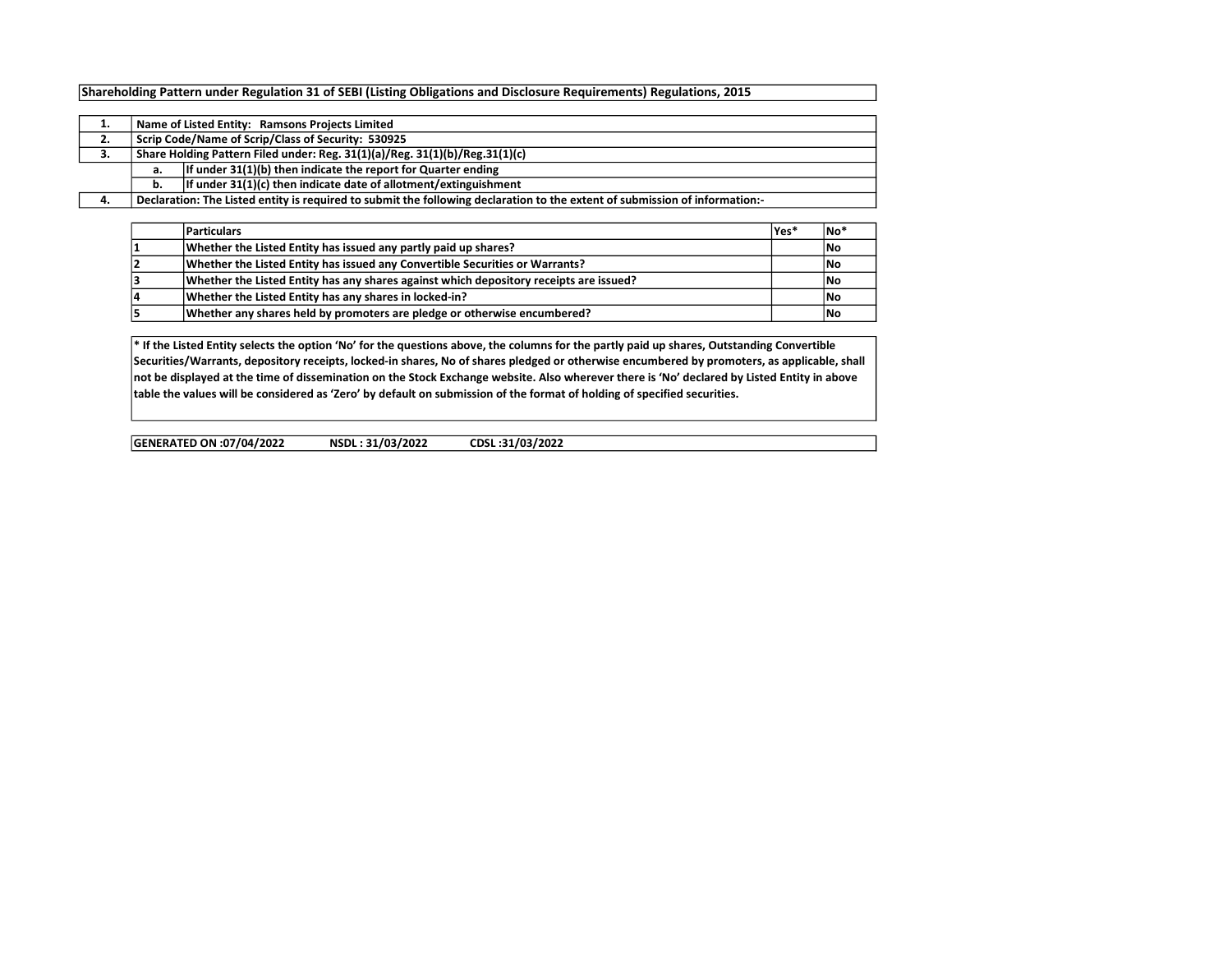## Shareholding Pattern under Regulation 31 of SEBI (Listing Obligations and Disclosure Requirements) Regulations, 2015

|    |                                                                             | Name of Listed Entity: Ramsons Projects Limited                                                                             |  |  |  |  |  |  |  |  |  |  |  |
|----|-----------------------------------------------------------------------------|-----------------------------------------------------------------------------------------------------------------------------|--|--|--|--|--|--|--|--|--|--|--|
| 2. | Scrip Code/Name of Scrip/Class of Security: 530925                          |                                                                                                                             |  |  |  |  |  |  |  |  |  |  |  |
| з. | Share Holding Pattern Filed under: Reg. 31(1)(a)/Reg. 31(1)(b)/Reg.31(1)(c) |                                                                                                                             |  |  |  |  |  |  |  |  |  |  |  |
|    | а.                                                                          | If under $31(1)(b)$ then indicate the report for Quarter ending                                                             |  |  |  |  |  |  |  |  |  |  |  |
|    | b.                                                                          | If under $31(1)(c)$ then indicate date of allotment/extinguishment                                                          |  |  |  |  |  |  |  |  |  |  |  |
|    |                                                                             | Declaration: The Listed entity is required to submit the following declaration to the extent of submission of information:- |  |  |  |  |  |  |  |  |  |  |  |

|    | <b>Particulars</b>                                                                     | lYes* | INo'       |
|----|----------------------------------------------------------------------------------------|-------|------------|
|    | Whether the Listed Entity has issued any partly paid up shares?                        |       | <b>INo</b> |
|    | Whether the Listed Entity has issued any Convertible Securities or Warrants?           |       | <b>INo</b> |
|    | Whether the Listed Entity has any shares against which depository receipts are issued? |       | <b>INo</b> |
| 14 | Whether the Listed Entity has any shares in locked-in?                                 |       | <b>INo</b> |
|    | Whether any shares held by promoters are pledge or otherwise encumbered?               |       | <b>INo</b> |

\* If the Listed Entity selects the option 'No' for the questions above, the columns for the partly paid up shares, Outstanding Convertible Securities/Warrants, depository receipts, locked-in shares, No of shares pledged or otherwise encumbered by promoters, as applicable, shall not be displayed at the time of dissemination on the Stock Exchange website. Also wherever there is 'No' declared by Listed Entity in above table the values will be considered as 'Zero' by default on submission of the format of holding of specified securities.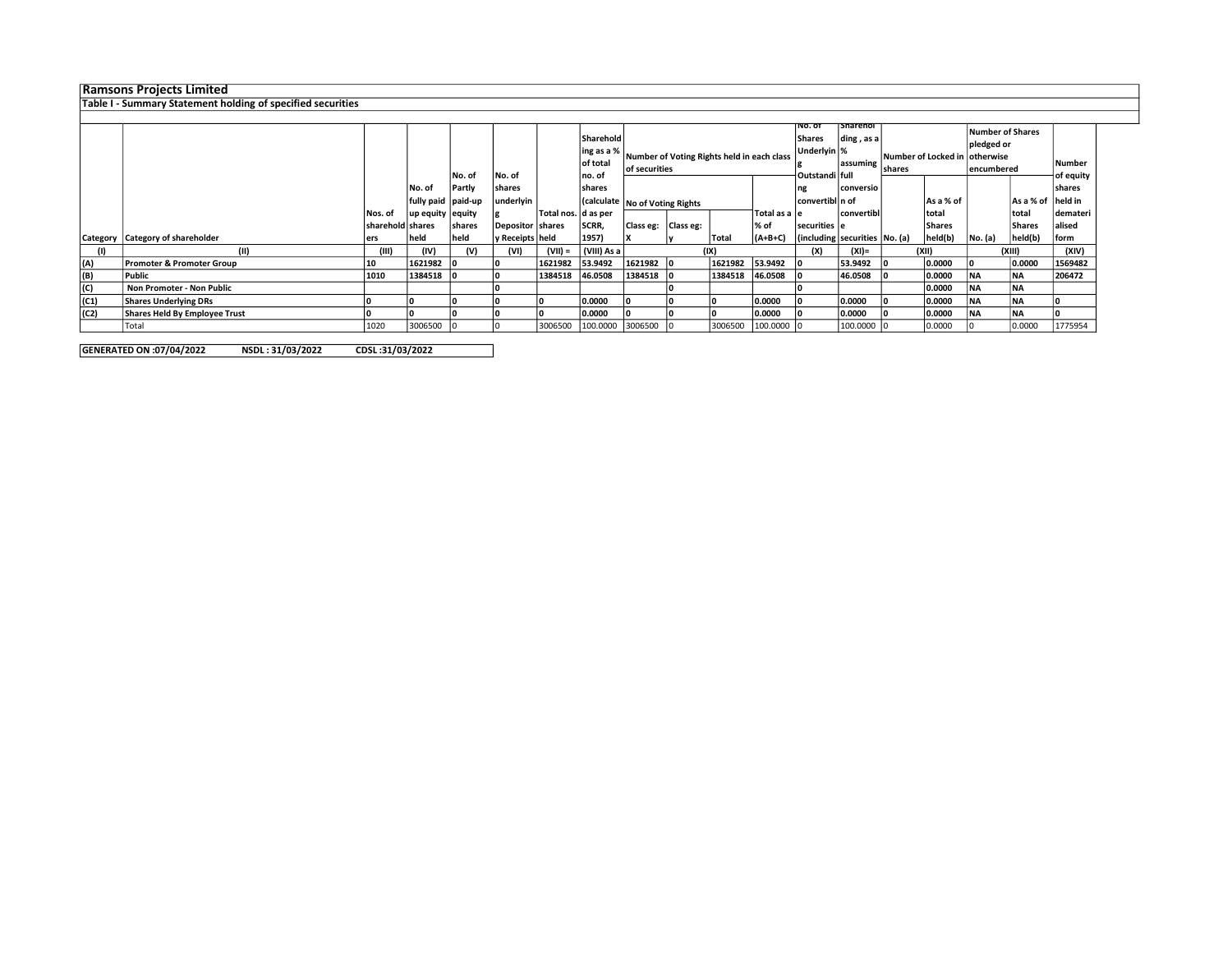## Ramsons Projects Limited

## Table I - Summary Statement holding of specified securities

|      |                                      |                  |                    | No. of         | No. of           |                       | Sharehold<br>ling as a %<br>of total<br>lno. of | Number of Voting Rights held in each class<br>of securities |  |         | ⊺Sharehol<br>⊺No. of<br>Shares<br>ding, as a<br>Underlyin %<br>assuming<br> Outstandi   full |                                       |            |     | <b>Number of Shares</b><br>pledged or<br>Number of Locked in  otherwise <br>encumbered | <b>Number</b><br>of equity |                   |          |        |       |
|------|--------------------------------------|------------------|--------------------|----------------|------------------|-----------------------|-------------------------------------------------|-------------------------------------------------------------|--|---------|----------------------------------------------------------------------------------------------|---------------------------------------|------------|-----|----------------------------------------------------------------------------------------|----------------------------|-------------------|----------|--------|-------|
|      |                                      |                  | No. of             | Partly         | shares           |                       | shares                                          |                                                             |  |         | ng                                                                                           | conversio                             |            |     |                                                                                        |                            | <b>shares</b>     |          |        |       |
|      |                                      |                  | fully paid paid-up |                | underlyin        |                       |                                                 | Calculate No of Voting Rights                               |  |         |                                                                                              | convertibl n of                       |            |     | As a % of                                                                              |                            | As a % of held in |          |        |       |
|      |                                      | Nos. of          | up equity equity   |                |                  | Total nos.   d as per |                                                 |                                                             |  |         | Total as a le                                                                                |                                       | convertibl |     | Itotal                                                                                 |                            | total             | demateri |        |       |
|      |                                      | sharehold shares |                    | <b>Ishares</b> | Depositor shares |                       | SCRR,                                           | Class eg:   Class eg:                                       |  |         | l% of                                                                                        | securities e                          |            |     | <b>Shares</b>                                                                          |                            | Shares            | alised   |        |       |
|      | Category   Category of shareholder   | ers              | <b>held</b>        | held           | y Receipts held  |                       | 1957)                                           |                                                             |  | Tota    | $  (A+B+C)$                                                                                  | $ $ (including securities $ No. (a) $ |            |     | held(b)                                                                                | No. (a)                    | held(b)           | form     |        |       |
| (1)  |                                      | (III)            | (IV)               | (V)            | (VI)             | $(VII) =$             | (VIII) As a                                     |                                                             |  | (IX)    |                                                                                              |                                       |            | (X) | (XI)=                                                                                  | (XII)                      |                   |          | (XIII) | (XIV) |
| (A)  | <b>Promoter &amp; Promoter Group</b> | 10               | 1621982            |                |                  | 1621982               | 53.9492                                         | 1621982                                                     |  | 1621982 | 53.9492                                                                                      |                                       | 53.9492    |     | 0.0000                                                                                 |                            | 0.0000            | 1569482  |        |       |
| (B)  | l Public                             | 1010             | 1384518            |                |                  | 1384518               | 46.0508                                         | 1384518                                                     |  | 1384518 | 46.0508                                                                                      |                                       | 46.0508    |     | 0.0000                                                                                 | <b>NA</b>                  | INA.              | 206472   |        |       |
| (C)  | Non Promoter - Non Public            |                  |                    |                |                  |                       |                                                 |                                                             |  |         |                                                                                              |                                       |            |     | 0.0000                                                                                 | <b>NA</b>                  | <b>NA</b>         |          |        |       |
| (C1) | <b>Shares Underlying DRs</b>         |                  |                    |                |                  |                       | 0.0000                                          |                                                             |  |         | 0.0000                                                                                       |                                       | 0.0000     |     | 0.0000                                                                                 | <b>NA</b>                  | <b>NA</b>         |          |        |       |
| (C2) | Shares Held By Employee Trust        |                  |                    |                |                  |                       | 0.0000                                          |                                                             |  |         | 0.0000                                                                                       |                                       | 0.0000     |     | 0.0000                                                                                 | <b>NA</b>                  | NA                |          |        |       |
|      | Total                                | 1020             | 3006500            |                |                  | 3006500               | 100.0000 3006500                                |                                                             |  | 3006500 | $100,0000$ $ 0$                                                                              |                                       | 100.0000   |     | 0.0000                                                                                 |                            | 0.0000            | 1775954  |        |       |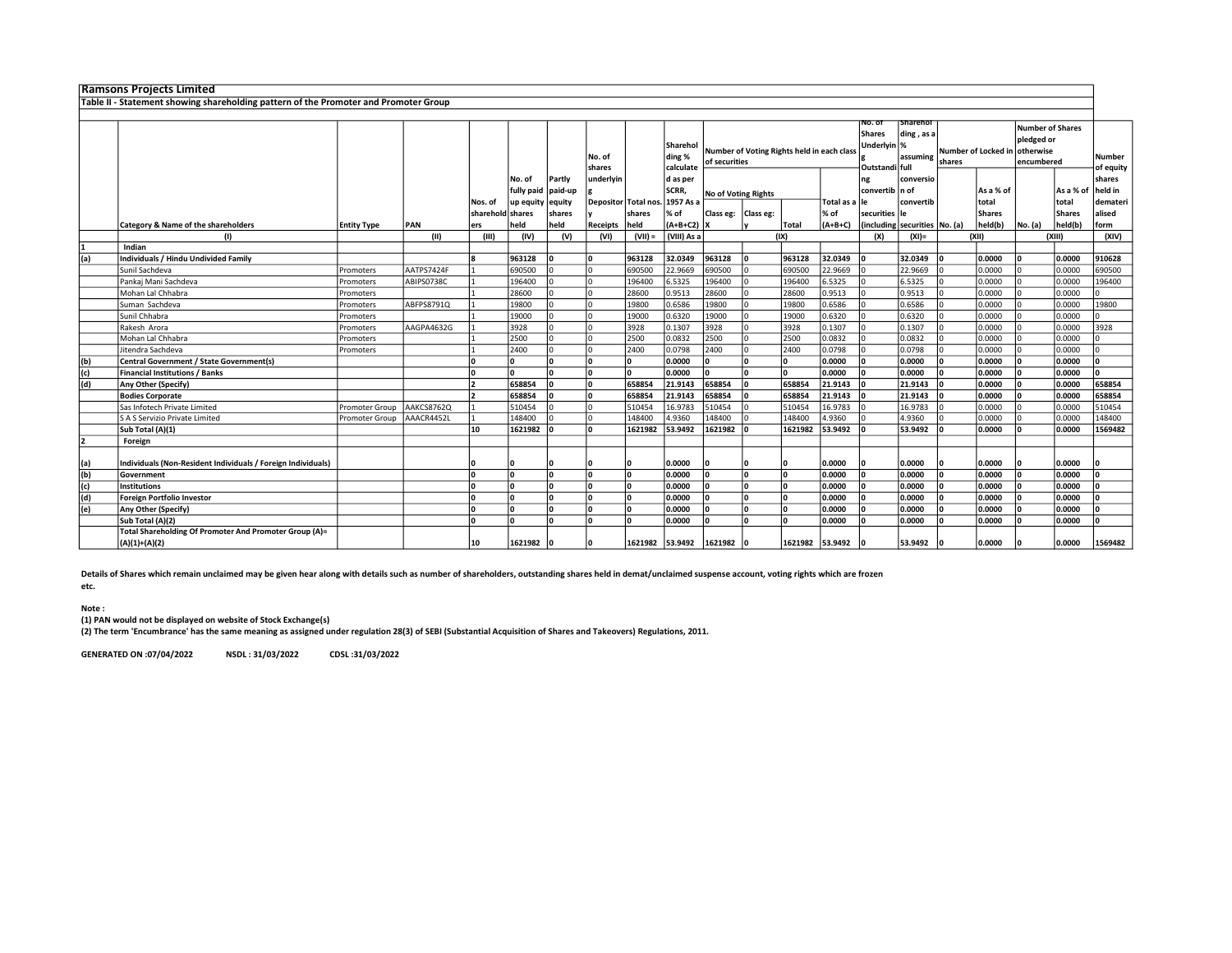|     | <b>Ramsons Projects Limited</b>                                                      |                    |            |                  |            |         |                      |                 |                                 |                                                             |           |                 |                                                      |                                    |                                 |                               |                                              |         |                     |          |
|-----|--------------------------------------------------------------------------------------|--------------------|------------|------------------|------------|---------|----------------------|-----------------|---------------------------------|-------------------------------------------------------------|-----------|-----------------|------------------------------------------------------|------------------------------------|---------------------------------|-------------------------------|----------------------------------------------|---------|---------------------|----------|
|     | Table II - Statement showing shareholding pattern of the Promoter and Promoter Group |                    |            |                  |            |         |                      |                 |                                 |                                                             |           |                 |                                                      |                                    |                                 |                               |                                              |         |                     |          |
|     |                                                                                      |                    |            |                  |            |         |                      |                 |                                 |                                                             |           |                 |                                                      |                                    |                                 |                               |                                              |         |                     |          |
|     |                                                                                      |                    |            |                  |            |         | No. of<br>shares     |                 | Sharehol<br>ding %<br>calculate | Number of Voting Rights held in each class<br>of securities |           |                 | No. of<br>Shares<br>Underlyin  %<br>Outstandi   full | Sharehol<br>ding, as a<br>assuming | shares                          | Number of Locked in otherwise | Number of Shares<br>pledged or<br>encumbered |         | Number<br>of equity |          |
|     |                                                                                      |                    |            |                  | No. of     | Partly  | underlyin            |                 | d as per                        |                                                             |           |                 |                                                      | ng                                 | conversio                       |                               |                                              |         |                     | shares   |
|     |                                                                                      |                    |            |                  | fully paid | paid-up |                      |                 | <b>SCRR</b>                     | No of Voting Rights                                         |           |                 |                                                      | convertib n of                     |                                 |                               | As a % of                                    |         | As a % of           | held in  |
|     |                                                                                      |                    |            | Nos. of          | up equity  | equity  | Depositor Total nos. |                 | 1957 As a                       |                                                             |           |                 | Total as a lle                                       |                                    | convertib                       |                               | total                                        |         | total               | demateri |
|     |                                                                                      |                    |            | sharehold shares |            | shares  |                      | shares          | % of                            | Class eg:                                                   | Class eg: |                 | % of                                                 | securities le                      |                                 |                               | <b>Shares</b>                                |         | <b>Shares</b>       | alised   |
|     | Category & Name of the shareholders                                                  | <b>Entity Type</b> | PAN        | ers              | held       | held    | Receipts             | held            | $(A+B+C2)$                      | Ιx                                                          |           | Total           | $(A+B+C)$                                            |                                    | (including securities   No. (a) |                               | held(b)                                      | No. (a) | held(b)             | form     |
|     | (1)                                                                                  |                    | (II)       | (III)            | (IV)       | (V)     | (VI)                 | $(VII) =$       | (VIII) As a                     |                                                             |           | (IX)            |                                                      | (X)                                | $(XI) =$                        |                               | (XII)                                        |         | (XIII)              | (XIV)    |
|     | Indian                                                                               |                    |            |                  |            |         |                      |                 |                                 |                                                             |           |                 |                                                      |                                    |                                 |                               |                                              |         |                     |          |
| (a) | Individuals / Hindu Undivided Family                                                 |                    |            |                  | 963128     |         | ١٥                   | 963128          | 32.0349                         | 963128                                                      |           | 963128          | 32.0349                                              |                                    | 32.0349                         |                               | 0.0000                                       |         | 0.0000              | 910628   |
|     | Sunil Sachdeva                                                                       | Promoters          | AATPS7424F |                  | 690500     |         |                      | 690500          | 22.9669                         | 690500                                                      |           | 690500          | 22.9669                                              |                                    | 22.9669                         |                               | 0.0000                                       |         | 0.0000              | 690500   |
|     | Pankaj Mani Sachdeva                                                                 | Promoters          | ABIPS0738C |                  | 196400     |         |                      | 196400          | 6.5325                          | 196400                                                      |           | 196400          | 6.5325                                               |                                    | 6.5325                          |                               | 0.0000                                       |         | 0.0000              | 196400   |
|     | Mohan Lal Chhabra                                                                    | Promoters          |            |                  | 28600      |         |                      | 28600           | 0.9513                          | 28600                                                       |           | 28600           | 0.9513                                               |                                    | 0.9513                          |                               | 0.0000                                       |         | 0.0000              |          |
|     | Suman Sachdeva                                                                       | Promoters          | ABFPS8791Q |                  | 19800      |         |                      | 19800           | 0.6586                          | 19800                                                       |           | 19800           | 0.6586                                               |                                    | 0.6586                          |                               | 0.0000                                       |         | 0.0000              | 19800    |
|     | Sunil Chhabra                                                                        | Promoters          |            |                  | 19000      |         |                      | 19000           | 0.6320                          | 19000                                                       |           | 19000           | 0.6320                                               |                                    | 0.6320                          |                               | 0.0000                                       |         | 0.0000              |          |
|     | Rakesh Arora                                                                         | Promoters          | AAGPA4632G |                  | 3928       |         |                      | 3928            | 0.1307                          | 3928                                                        |           | 3928            | 0.1307                                               |                                    | 0.1307                          |                               | 0.0000                                       |         | 0.0000              | 3928     |
|     | Mohan Lal Chhabra                                                                    | Promoters          |            |                  | 2500       |         |                      | 2500            | 0.0832                          | 2500                                                        |           | 2500            | 0.0832                                               |                                    | 0.0832                          |                               | 0.0000                                       |         | 0.0000              |          |
|     | Jitendra Sachdeva                                                                    | Promoters          |            |                  | 2400       |         |                      | 2400            | 0.0798                          | 2400                                                        |           | 2400            | 0.0798                                               |                                    | 0.0798                          |                               | 0.0000                                       |         | 0.0000              |          |
| (b) | Central Government / State Government(s)                                             |                    |            |                  |            |         | ١n                   | ١o              | 0.0000                          | l٥                                                          |           | ١o              | 0.0000                                               | l٥                                 | 0.0000                          |                               | 0.0000                                       |         | 0.0000              | n        |
| (c) | <b>Financial Institutions / Banks</b>                                                |                    |            |                  |            |         | ١n                   | ١o              | 0.0000                          | l٥                                                          |           | ١o              | 0.0000                                               | l٥                                 | 0.0000                          |                               | 0.0000                                       |         | 0.0000              | n.       |
| (d) | Any Other (Specify)                                                                  |                    |            |                  | 658854     |         | ١٥                   | 658854          | 21.9143                         | 658854                                                      |           | 658854          | 21.9143                                              |                                    | 21.9143                         |                               | 0.0000                                       |         | 0.0000              | 658854   |
|     | <b>Bodies Corporate</b>                                                              |                    |            |                  | 658854     |         | ۱n                   | 658854          | 21.9143                         | 658854                                                      |           | 658854          | 21.9143                                              |                                    | 21.9143                         |                               | 0.0000                                       |         | 0.0000              | 658854   |
|     | Sas Infotech Private Limited                                                         | Promoter Group     | AAKCS8762Q |                  | 510454     |         |                      | 510454          | 16.9783                         | 510454                                                      |           | 510454          | 16.9783                                              |                                    | 16.9783                         |                               | 0.0000                                       |         | 0.0000              | 510454   |
|     | S A S Servizio Private Limited                                                       | Promoter Group     | AAACR4452L |                  | 148400     |         |                      | 148400          | 4.9360                          | 148400                                                      |           | 148400          | 4.9360                                               |                                    | 4.9360                          |                               | 0.0000                                       |         | 0.0000              | 148400   |
|     | Sub Total (A)(1)                                                                     |                    |            | 10               | 1621982    |         | Ι٥                   | 1621982         | 53.9492                         | 1621982                                                     |           | 1621982         | 53.9492                                              |                                    | 53.9492                         |                               | 0.0000                                       |         | 0.0000              | 1569482  |
|     | Foreign                                                                              |                    |            |                  |            |         |                      |                 |                                 |                                                             |           |                 |                                                      |                                    |                                 |                               |                                              |         |                     |          |
| (a) | Individuals (Non-Resident Individuals / Foreign Individuals)                         |                    |            |                  |            |         |                      |                 | 0.0000                          |                                                             |           |                 | 0.0000                                               |                                    | 0.0000                          |                               | 0.0000                                       |         | 0.0000              |          |
| (b) | Government                                                                           |                    |            |                  |            |         | Ι٥                   | l۵              | 0.0000                          |                                                             |           | ١n              | 0.0000                                               | O                                  | 0.0000                          |                               | 0.0000                                       |         | 0.0000              | n        |
| (c) | <b>Institutions</b>                                                                  |                    |            |                  |            |         |                      | ١o              | 0.0000                          |                                                             |           | ١o              | 0.0000                                               | l٥                                 | 0.0000                          |                               | 0.0000                                       |         | 0.0000              |          |
| (d) | <b>Foreign Portfolio Investor</b>                                                    |                    |            |                  |            |         | ١٥                   | ١o              | 0.0000                          |                                                             |           | ١o              | 0.0000                                               | l٥                                 | 0.0000                          |                               | 0.0000                                       |         | 0.0000              | n        |
| (e) | Any Other (Specify)                                                                  |                    |            |                  |            |         |                      | l۵              | 0.0000                          |                                                             |           | l٥              | 0.0000                                               |                                    | 0.0000                          |                               | 0.0000                                       |         | 0.0000              |          |
|     | Sub Total (A)(2)                                                                     |                    |            |                  |            |         |                      | Ι∩              | 0.0000                          |                                                             |           | Ι∩              | 0.0000                                               |                                    | 0.0000                          |                               | 0.0000                                       |         | 0.0000              |          |
|     | Total Shareholding Of Promoter And Promoter Group (A)=                               |                    |            |                  |            |         |                      |                 |                                 |                                                             |           |                 |                                                      |                                    |                                 |                               |                                              |         |                     |          |
|     | $(A)(1)+(A)(2)$                                                                      |                    |            | 10               | 1621982    |         |                      | 1621982 53.9492 |                                 | 1621982                                                     |           | 1621982 53.9492 |                                                      |                                    | 53.9492                         |                               | 0.0000                                       |         | 0.0000              | 1569482  |

Details of Shares which remain unclaimed may be given hear along with details such as number of shareholders, outstanding shares held in demat/unclaimed suspense account, voting rights which are frozen

etc.

## Note :

(1) PAN would not be displayed on website of Stock Exchange(s)

(2) The term 'Encumbrance' has the same meaning as assigned under regulation 28(3) of SEBI (Substantial Acquisition of Shares and Takeovers) Regulations, 2011.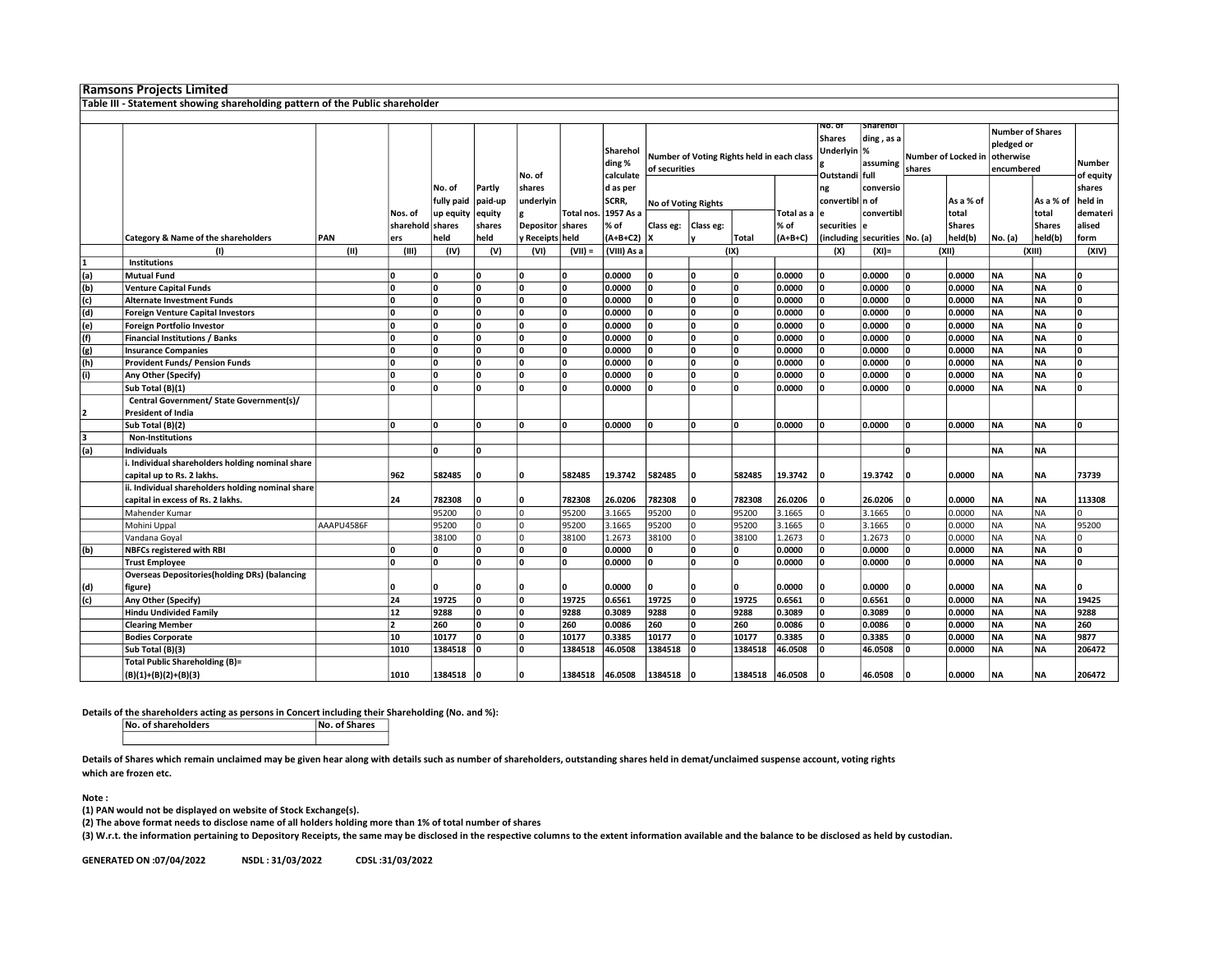|              | <b>Ramsons Projects Limited</b>                                              |                                           |                             |                     |                  |                   |                            |                                 |               |           |                                            |                    |                                                          |                                           |                                      |                        |                                                                  |                        |                     |
|--------------|------------------------------------------------------------------------------|-------------------------------------------|-----------------------------|---------------------|------------------|-------------------|----------------------------|---------------------------------|---------------|-----------|--------------------------------------------|--------------------|----------------------------------------------------------|-------------------------------------------|--------------------------------------|------------------------|------------------------------------------------------------------|------------------------|---------------------|
|              | Table III - Statement showing shareholding pattern of the Public shareholder |                                           |                             |                     |                  |                   |                            |                                 |               |           |                                            |                    |                                                          |                                           |                                      |                        |                                                                  |                        |                     |
|              |                                                                              |                                           |                             |                     |                  |                   |                            |                                 |               |           |                                            |                    |                                                          |                                           |                                      |                        |                                                                  |                        |                     |
|              |                                                                              |                                           |                             |                     |                  | No. of            |                            | Sharehol<br>ding %<br>calculate | of securities |           | Number of Voting Rights held in each class |                    | No. of<br><b>Shares</b><br>Underlyin %<br>Outstandi full | <b>Sharehol</b><br>ding, as a<br>assuming | <b>Number of Locked in</b><br>shares |                        | <b>Number of Shares</b><br>pledged or<br>otherwise<br>encumbered |                        | Number<br>of equity |
|              |                                                                              | No. of<br>Partly<br>paid-up<br>fully paid |                             | shares<br>underlyin |                  | d as per<br>SCRR, | <b>No of Voting Rights</b> |                                 |               |           | ng<br>convertibl n of                      | conversio          |                                                          | As a % of                                 |                                      | As a % of              | shares<br>held in                                                |                        |                     |
|              |                                                                              |                                           | Nos. of<br>sharehold shares | up equity           | equity<br>shares | <b>Depositor</b>  | Total nos<br>shares        | 1957 As a<br>% of               | Class eg:     | Class eg: |                                            | Total as a<br>% of | le<br>securities                                         | convertibl                                |                                      | total<br><b>Shares</b> |                                                                  | total<br><b>Shares</b> | demateri<br>alised  |
|              | Category & Name of the shareholders                                          | PAN                                       | ers                         | held                | held             | y Receipts held   |                            | $(A+B+C2)$ X                    |               | l٧        | Total                                      | $(A+B+C)$          |                                                          | (including securities   No. (a)           |                                      | held(b)                | No. (a)                                                          | held(b)                | form                |
|              | (1)                                                                          | (II)                                      | (III)                       | (IV)                | (V)              | (VI)              | $(VII) =$                  | (VIII) As a                     |               |           | (IX)                                       |                    | (X)                                                      | $(XI) =$                                  |                                      | (XII)                  |                                                                  | (XIII)                 | (XIV)               |
| $\mathbf{1}$ | <b>Institutions</b>                                                          |                                           |                             |                     |                  |                   |                            |                                 |               |           |                                            |                    |                                                          |                                           |                                      |                        |                                                                  |                        |                     |
| (a)          | <b>Mutual Fund</b>                                                           |                                           | ١o                          | ۱o                  | ۱n               | ١o                | n                          | 0.0000                          | $\mathbf{0}$  | ١o        | l٥                                         | 0.0000             | ١o                                                       | 0.0000                                    | ١o                                   | 0.0000                 | <b>NA</b>                                                        | <b>NA</b>              | 0                   |
| (b)          | <b>Venture Capital Funds</b>                                                 |                                           | O                           | ١n                  | ۱n               | ١o                | n                          | 0.0000                          | $\mathbf{0}$  | ١o        |                                            | 0.0000             | ١o                                                       | 0.0000                                    | ١o                                   | 0.0000                 | <b>NA</b>                                                        | <b>NA</b>              | $\mathbf{0}$        |
| (c)          | <b>Alternate Investment Funds</b>                                            |                                           | ۱o                          | ١n                  | ۱n               | ١o                | ١o                         | 0.0000                          | $\Omega$      | ١o        | n                                          | 0.0000             | ١o                                                       | 0.0000                                    | ١o                                   | 0.0000                 | <b>NA</b>                                                        | <b>NA</b>              | $\overline{0}$      |
| (d)          | <b>Foreign Venture Capital Investors</b>                                     |                                           | O                           | ١n                  | ۱n               | ١o                | <b>n</b>                   | 0.0000                          | $\mathbf{0}$  | ١o        |                                            | 0.0000             | ١o                                                       | 0.0000                                    | ١o                                   | 0.0000                 | <b>NA</b>                                                        | <b>NA</b>              | $\mathbf{0}$        |
| (e)          | Foreign Portfolio Investor                                                   |                                           | ١o                          | ١n                  | ١o               | ١o                | ١o                         | 0.0000                          | $\Omega$      | ١o        | n                                          | 0.0000             | ١o                                                       | 0.0000                                    | ١o                                   | 0.0000                 | <b>NA</b>                                                        | <b>NA</b>              | $\mathbf{0}$        |
| (f)          | <b>Financial Institutions / Banks</b>                                        |                                           | O                           | ١n                  | ۱n               | ١o                |                            | 0.0000                          | $\Omega$      | ١o        |                                            | 0.0000             | ١o                                                       | 0.0000                                    | ١o                                   | 0.0000                 | <b>NA</b>                                                        | <b>NA</b>              | 0                   |
| (g)          | <b>Insurance Companies</b>                                                   |                                           | O                           | ١n                  | ۱n               | ١o                |                            | 0.0000                          |               | ۱o        |                                            | 0.0000             | ١o                                                       | 0.0000                                    | ۱o                                   | 0.0000                 | <b>NA</b>                                                        | <b>NA</b>              | O                   |
| (h)          | <b>Provident Funds/ Pension Funds</b>                                        |                                           | O                           | ٥                   | ۱o               | ١o                | O                          | 0.0000                          | $\mathbf{0}$  | ١o        |                                            | 0.0000             | ١o                                                       | 0.0000                                    | ١o                                   | 0.0000                 | <b>NA</b>                                                        | <b>NA</b>              | $\mathbf{o}$        |
| (i)          | Any Other (Specify)                                                          |                                           | o                           | ١n                  | ۱n               | ١o                | n                          | 0.0000                          | $\Omega$      | ١o        |                                            | 0.0000             | ١o                                                       | 0.0000                                    | ١o                                   | 0.0000                 | <b>NA</b>                                                        | <b>NA</b>              | $\mathbf{0}$        |
|              | Sub Total (B)(1)                                                             |                                           | O                           | ۱o                  | ۱n               | ١o                | n                          | 0.0000                          | $\Omega$      | ١o        |                                            | 0.0000             | ١o                                                       | 0.0000                                    | ١o                                   | 0.0000                 | <b>NA</b>                                                        | <b>NA</b>              | 0                   |
|              | Central Government/ State Government(s)/                                     |                                           |                             |                     |                  |                   |                            |                                 |               |           |                                            |                    |                                                          |                                           |                                      |                        |                                                                  |                        |                     |
| 2            | <b>President of India</b>                                                    |                                           |                             |                     |                  |                   |                            |                                 |               |           |                                            |                    |                                                          |                                           |                                      |                        |                                                                  |                        |                     |
|              | Sub Total (B)(2)                                                             |                                           | O                           | ١n                  | ۱n               | ١o                | ١o                         | 0.0000                          | $\Omega$      | ١o        | ١o                                         | 0.0000             | ۱n                                                       | 0.0000                                    | ١o                                   | 0.0000                 | <b>NA</b>                                                        | <b>NA</b>              | 0                   |
| 3            | <b>Non-Institutions</b>                                                      |                                           |                             |                     |                  |                   |                            |                                 |               |           |                                            |                    |                                                          |                                           |                                      |                        |                                                                  |                        |                     |
| (a)          | <b>Individuals</b>                                                           |                                           |                             | ١n                  | ۱n               |                   |                            |                                 |               |           |                                            |                    |                                                          |                                           | ۱n                                   |                        | <b>NA</b>                                                        | <b>NA</b>              |                     |
|              | i. Individual shareholders holding nominal share                             |                                           |                             |                     |                  |                   |                            |                                 |               |           |                                            |                    |                                                          |                                           |                                      |                        |                                                                  |                        |                     |
|              | capital up to Rs. 2 lakhs.                                                   |                                           | 962                         | 582485              | ۱n               | Ι٥                | 582485                     | 19.3742                         | 582485        | ١o        | 582485                                     | 19.3742            | ۱٨                                                       | 19.3742                                   | n                                    | 0.0000                 | <b>NA</b>                                                        | ΝA                     | 73739               |
|              | ii. Individual shareholders holding nominal share                            |                                           |                             |                     |                  |                   |                            |                                 |               |           |                                            |                    |                                                          |                                           |                                      |                        |                                                                  |                        |                     |
|              | capital in excess of Rs. 2 lakhs.                                            |                                           | 24                          | 782308              | O                | Ι٥                | 782308                     | 26.0206                         | 782308        | ۱۵        | 782308                                     | 26.0206            |                                                          | 26.0206                                   | ۱n                                   | 0.0000                 | <b>NA</b>                                                        | <b>NA</b>              | 113308              |
|              | Mahender Kumar                                                               |                                           |                             | 95200               | n                | I٥                | 95200                      | 3.1665                          | 95200         | lo.       | 95200                                      | 3.1665             | lo                                                       | 3.1665                                    | ١o                                   | 0.0000                 | <b>NA</b>                                                        | <b>NA</b>              | $\Omega$            |
|              | Mohini Uppal                                                                 | AAAPU4586F                                |                             | 95200               | l٥               | I٥                | 95200                      | 3.1665                          | 95200         | lo.       | 95200                                      | 3.1665             | lo                                                       | 3.1665                                    | lo                                   | 0.0000                 | <b>NA</b>                                                        | <b>NA</b>              | 95200               |
|              | Vandana Goyal                                                                |                                           |                             | 38100               | l٥               | I٥                | 38100                      | 1.2673                          | 38100         | l٥        | 38100                                      | 1.2673             | I٥                                                       | 1.2673                                    | lo.                                  | 0.0000                 | <b>NA</b>                                                        | <b>NA</b>              | $\Omega$            |
| (b)          | <b>NBFCs registered with RBI</b>                                             |                                           | ١o                          | n                   | ۱n               | ١o                | n                          | 0.0000                          | 0             | ١o        | n                                          | 0.0000             | ١o                                                       | 0.0000                                    | ١o                                   | 0.0000                 | <b>NA</b>                                                        | <b>NA</b>              | 0                   |
|              | <b>Trust Employee</b>                                                        |                                           | o                           | ١n                  | ۱n               | ١o                | <sup>0</sup>               | 0.0000                          | $\Omega$      | ١o        | <b>n</b>                                   | 0.0000             | ۱o                                                       | 0.0000                                    | ۱o                                   | 0.0000                 | <b>NA</b>                                                        | <b>NA</b>              | 0                   |
|              | <b>Overseas Depositories (holding DRs) (balancing</b>                        |                                           |                             |                     |                  |                   |                            |                                 |               |           |                                            |                    |                                                          |                                           |                                      |                        |                                                                  |                        |                     |
| (d)          | figure)                                                                      |                                           | O                           |                     | O                | ۱٨                |                            | 0.0000                          |               | ١o        |                                            | 0.0000             |                                                          | 0.0000                                    | ۱o                                   | 0.0000                 | <b>NA</b>                                                        | <b>NA</b>              | <sup>0</sup>        |
| (c)          | Any Other (Specify)                                                          |                                           | 24                          | 19725               | ۱o               | ١o                | 19725                      | 0.6561                          | 19725         | ١o        | 19725                                      | 0.6561             | ١o                                                       | 0.6561                                    | ١o                                   | 0.0000                 | <b>NA</b>                                                        | <b>NA</b>              | 19425               |
|              | <b>Hindu Undivided Family</b>                                                |                                           | 12                          | 9288                | ۱n               | ١o                | 9288                       | 0.3089                          | 9288          | ١o        | 9288                                       | 0.3089             | ١o                                                       | 0.3089                                    | ١o                                   | 0.0000                 | <b>NA</b>                                                        | <b>NA</b>              | 9288                |
|              | <b>Clearing Member</b>                                                       |                                           | $\overline{2}$              | 260                 | ۱n               | ١o                | 260                        | 0.0086                          | 260           | ١o        | 260                                        | 0.0086             | ١o                                                       | 0.0086                                    | ۱o                                   | 0.0000                 | <b>NA</b>                                                        | <b>NA</b>              | 260                 |
|              | <b>Bodies Corporate</b>                                                      |                                           | 10                          | 10177               | ۱o               | ١o                | 10177                      | 0.3385                          | 10177         | ١o        | 10177                                      | 0.3385             | ١o                                                       | 0.3385                                    | ۱o                                   | 0.0000                 | <b>NA</b>                                                        | <b>NA</b>              | 9877                |
|              | Sub Total (B)(3)                                                             |                                           | 1010                        | 1384518             | n                | ۱o                | 1384518                    | 46.0508                         | 1384518       | ١o        | 1384518                                    | 46.0508            | ۱n                                                       | 46.0508                                   | l n                                  | 0.0000                 | <b>NA</b>                                                        | <b>NA</b>              | 206472              |
|              | Total Public Shareholding (B)=                                               |                                           |                             |                     |                  |                   |                            |                                 |               |           |                                            |                    |                                                          |                                           |                                      |                        |                                                                  |                        |                     |
|              | (B)(1)+(B)(2)+(B)(3)                                                         |                                           | 1010                        | 1384518             | ۱n               | Ι٥                | 1384518                    | 46.0508                         | 1384518       | ١o        | 1384518                                    | 46.0508            |                                                          | 46.0508                                   | n                                    | 0.0000                 | <b>INA</b>                                                       | <b>NA</b>              | 206472              |

Details of the shareholders acting as persons in Concert including their Shareholding (No. and %):<br>No. of Shares

No. of shareholders

Details of Shares which remain unclaimed may be given hear along with details such as number of shareholders, outstanding shares held in demat/unclaimed suspense account, voting rights which are frozen etc.

Note :

(1) PAN would not be displayed on website of Stock Exchange(s).

(2) The above format needs to disclose name of all holders holding more than 1% of total number of shares

(3) W.r.t. the information pertaining to Depository Receipts, the same may be disclosed in the respective columns to the extent information available and the balance to be disclosed as held by custodian.